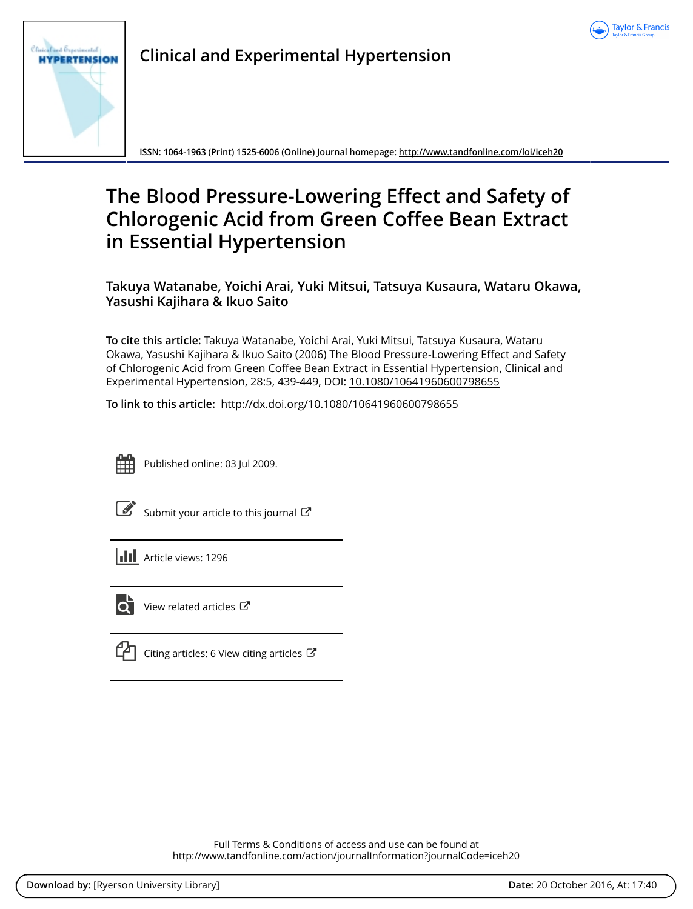



**Clinical and Experimental Hypertension**

**ISSN: 1064-1963 (Print) 1525-6006 (Online) Journal homepage:<http://www.tandfonline.com/loi/iceh20>**

# **The Blood Pressure-Lowering Effect and Safety of Chlorogenic Acid from Green Coffee Bean Extract in Essential Hypertension**

**Takuya Watanabe, Yoichi Arai, Yuki Mitsui, Tatsuya Kusaura, Wataru Okawa, Yasushi Kajihara & Ikuo Saito**

**To cite this article:** Takuya Watanabe, Yoichi Arai, Yuki Mitsui, Tatsuya Kusaura, Wataru Okawa, Yasushi Kajihara & Ikuo Saito (2006) The Blood Pressure-Lowering Effect and Safety of Chlorogenic Acid from Green Coffee Bean Extract in Essential Hypertension, Clinical and Experimental Hypertension, 28:5, 439-449, DOI: [10.1080/10641960600798655](http://www.tandfonline.com/action/showCitFormats?doi=10.1080/10641960600798655)

**To link to this article:** <http://dx.doi.org/10.1080/10641960600798655>



Published online: 03 Jul 2009.

[Submit your article to this journal](http://www.tandfonline.com/action/authorSubmission?journalCode=iceh20&show=instructions)  $\mathbb{Z}$ 

**III** Article views: 1296



 $\overline{\mathbf{Q}}$  [View related articles](http://www.tandfonline.com/doi/mlt/10.1080/10641960600798655)  $\mathbf{C}$ 

 $\mathbb{C}$  [Citing articles: 6 View citing articles](http://www.tandfonline.com/doi/citedby/10.1080/10641960600798655#tabModule)  $\mathbb{C}$ 

Full Terms & Conditions of access and use can be found at <http://www.tandfonline.com/action/journalInformation?journalCode=iceh20>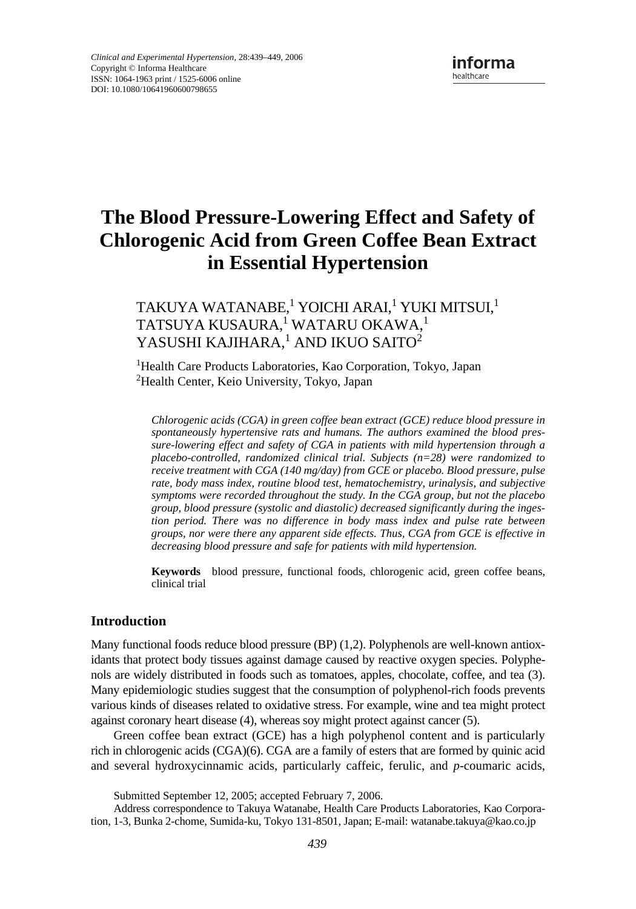# **The Blood Pressure-Lowering Effect and Safety of Chlorogenic Acid from Green Coffee Bean Extract in Essential Hypertension**

# TAKUYA WATANABE, $^{\rm l}$  YOICHI ARAI, $^{\rm l}$  YUKI MITSUI, $^{\rm l}$ TATSUYA KUSAURA,<sup>1</sup> WATARU OKAWA,<sup>1</sup> YASUSHI KAJIHARA, $^{\rm l}$  AND IKUO SAITO $^{\rm 2}$

<sup>1</sup>Health Care Products Laboratories, Kao Corporation, Tokyo, Japan <sup>2</sup>Health Center, Keio University, Tokyo, Japan

*Chlorogenic acids (CGA) in green coffee bean extract (GCE) reduce blood pressure in spontaneously hypertensive rats and humans. The authors examined the blood pressure-lowering effect and safety of CGA in patients with mild hypertension through a placebo-controlled, randomized clinical trial. Subjects (n=28) were randomized to receive treatment with CGA (140 mg/day) from GCE or placebo. Blood pressure, pulse rate, body mass index, routine blood test, hematochemistry, urinalysis, and subjective symptoms were recorded throughout the study. In the CGA group, but not the placebo group, blood pressure (systolic and diastolic) decreased significantly during the ingestion period. There was no difference in body mass index and pulse rate between groups, nor were there any apparent side effects. Thus, CGA from GCE is effective in decreasing blood pressure and safe for patients with mild hypertension.*

**Keywords** blood pressure, functional foods, chlorogenic acid, green coffee beans, clinical trial

# **Introduction**

Many functional foods reduce blood pressure (BP) (1,2). Polyphenols are well-known antioxidants that protect body tissues against damage caused by reactive oxygen species. Polyphenols are widely distributed in foods such as tomatoes, apples, chocolate, coffee, and tea (3). Many epidemiologic studies suggest that the consumption of polyphenol-rich foods prevents various kinds of diseases related to oxidative stress. For example, wine and tea might protect against coronary heart disease (4), whereas soy might protect against cancer (5).

Green coffee bean extract (GCE) has a high polyphenol content and is particularly rich in chlorogenic acids (CGA)(6). CGA are a family of esters that are formed by quinic acid and several hydroxycinnamic acids, particularly caffeic, ferulic, and *p*-coumaric acids,

Submitted September 12, 2005; accepted February 7, 2006.

Address correspondence to Takuya Watanabe, Health Care Products Laboratories, Kao Corporation, 1-3, Bunka 2-chome, Sumida-ku, Tokyo 131-8501, Japan; E-mail: watanabe.takuya@kao.co.jp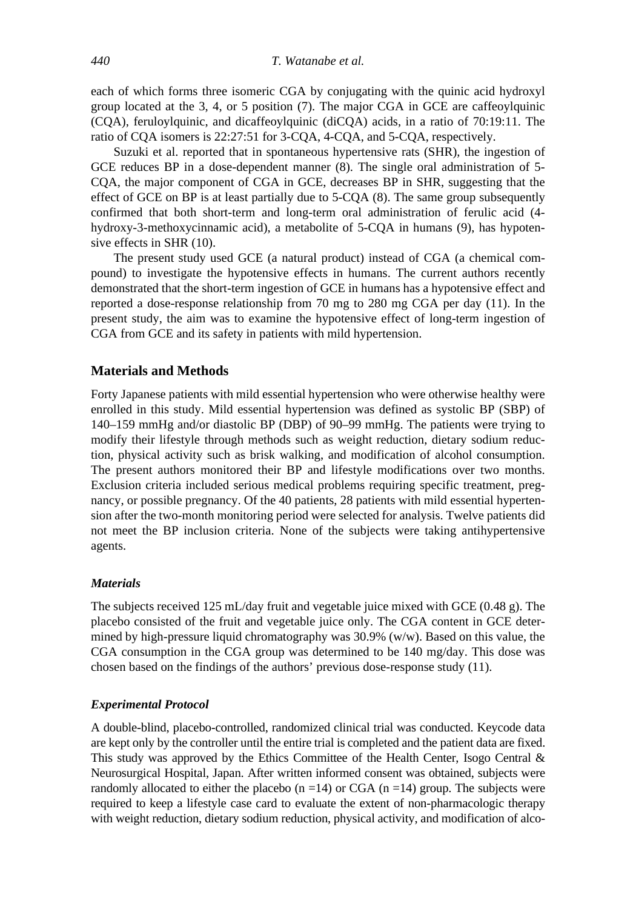each of which forms three isomeric CGA by conjugating with the quinic acid hydroxyl group located at the 3, 4, or 5 position (7). The major CGA in GCE are caffeoylquinic (CQA), feruloylquinic, and dicaffeoylquinic (diCQA) acids, in a ratio of 70:19:11. The ratio of CQA isomers is 22:27:51 for 3-CQA, 4-CQA, and 5-CQA, respectively.

Suzuki et al. reported that in spontaneous hypertensive rats (SHR), the ingestion of GCE reduces BP in a dose-dependent manner (8). The single oral administration of 5- CQA, the major component of CGA in GCE, decreases BP in SHR, suggesting that the effect of GCE on BP is at least partially due to 5-CQA (8). The same group subsequently confirmed that both short-term and long-term oral administration of ferulic acid (4 hydroxy-3-methoxycinnamic acid), a metabolite of 5-CQA in humans (9), has hypotensive effects in SHR (10).

The present study used GCE (a natural product) instead of CGA (a chemical compound) to investigate the hypotensive effects in humans. The current authors recently demonstrated that the short-term ingestion of GCE in humans has a hypotensive effect and reported a dose-response relationship from 70 mg to 280 mg CGA per day (11). In the present study, the aim was to examine the hypotensive effect of long-term ingestion of CGA from GCE and its safety in patients with mild hypertension.

# **Materials and Methods**

Forty Japanese patients with mild essential hypertension who were otherwise healthy were enrolled in this study. Mild essential hypertension was defined as systolic BP (SBP) of 140–159 mmHg and/or diastolic BP (DBP) of 90–99 mmHg. The patients were trying to modify their lifestyle through methods such as weight reduction, dietary sodium reduction, physical activity such as brisk walking, and modification of alcohol consumption. The present authors monitored their BP and lifestyle modifications over two months. Exclusion criteria included serious medical problems requiring specific treatment, pregnancy, or possible pregnancy. Of the 40 patients, 28 patients with mild essential hypertension after the two-month monitoring period were selected for analysis. Twelve patients did not meet the BP inclusion criteria. None of the subjects were taking antihypertensive agents.

#### *Materials*

The subjects received 125 mL/day fruit and vegetable juice mixed with GCE (0.48 g). The placebo consisted of the fruit and vegetable juice only. The CGA content in GCE determined by high-pressure liquid chromatography was 30.9% (w/w). Based on this value, the CGA consumption in the CGA group was determined to be 140 mg/day. This dose was chosen based on the findings of the authors' previous dose-response study (11).

#### *Experimental Protocol*

A double-blind, placebo-controlled, randomized clinical trial was conducted. Keycode data are kept only by the controller until the entire trial is completed and the patient data are fixed. This study was approved by the Ethics Committee of the Health Center, Isogo Central & Neurosurgical Hospital, Japan. After written informed consent was obtained, subjects were randomly allocated to either the placebo  $(n = 14)$  or CGA  $(n = 14)$  group. The subjects were required to keep a lifestyle case card to evaluate the extent of non-pharmacologic therapy with weight reduction, dietary sodium reduction, physical activity, and modification of alco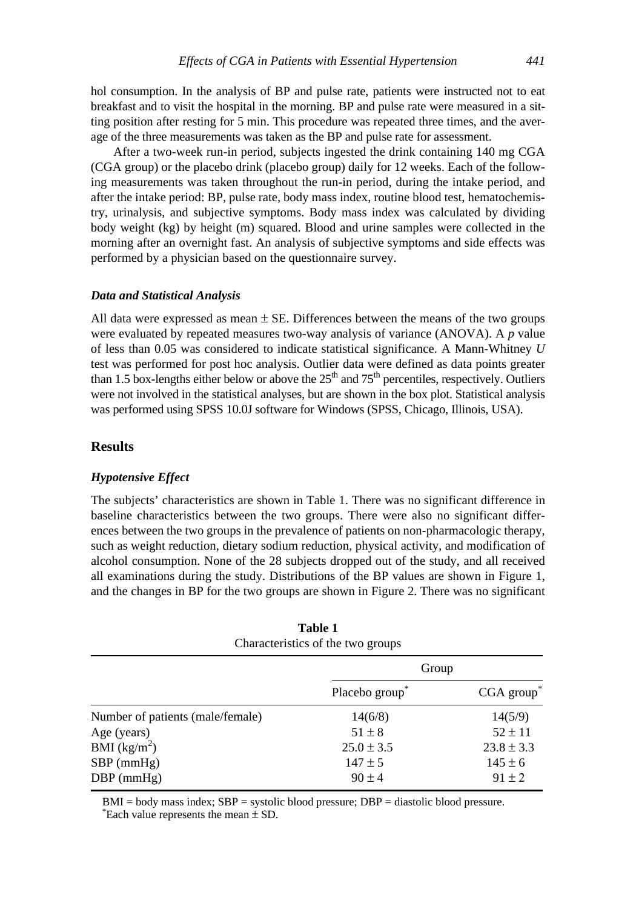hol consumption. In the analysis of BP and pulse rate, patients were instructed not to eat

breakfast and to visit the hospital in the morning. BP and pulse rate were measured in a sitting position after resting for 5 min. This procedure was repeated three times, and the average of the three measurements was taken as the BP and pulse rate for assessment.

After a two-week run-in period, subjects ingested the drink containing 140 mg CGA (CGA group) or the placebo drink (placebo group) daily for 12 weeks. Each of the following measurements was taken throughout the run-in period, during the intake period, and after the intake period: BP, pulse rate, body mass index, routine blood test, hematochemistry, urinalysis, and subjective symptoms. Body mass index was calculated by dividing body weight (kg) by height (m) squared. Blood and urine samples were collected in the morning after an overnight fast. An analysis of subjective symptoms and side effects was performed by a physician based on the questionnaire survey.

#### *Data and Statistical Analysis*

All data were expressed as mean  $\pm$  SE. Differences between the means of the two groups were evaluated by repeated measures two-way analysis of variance (ANOVA). A *p* value of less than 0.05 was considered to indicate statistical significance. A Mann-Whitney *U* test was performed for post hoc analysis. Outlier data were defined as data points greater than 1.5 box-lengths either below or above the  $25<sup>th</sup>$  and  $75<sup>th</sup>$  percentiles, respectively. Outliers were not involved in the statistical analyses, but are shown in the box plot. Statistical analysis was performed using SPSS 10.0J software for Windows (SPSS, Chicago, Illinois, USA).

# **Results**

## *Hypotensive Effect*

The subjects' characteristics are shown in Table 1. There was no significant difference in baseline characteristics between the two groups. There were also no significant differences between the two groups in the prevalence of patients on non-pharmacologic therapy, such as weight reduction, dietary sodium reduction, physical activity, and modification of alcohol consumption. None of the 28 subjects dropped out of the study, and all received all examinations during the study. Distributions of the BP values are shown in Figure 1, and the changes in BP for the two groups are shown in Figure 2. There was no significant

|                                  | Table 1<br>Characteristics of the two groups |                |
|----------------------------------|----------------------------------------------|----------------|
|                                  | Group                                        |                |
|                                  | Placebo group                                | CGA group      |
| Number of patients (male/female) | 14(6/8)                                      | 14(5/9)        |
| Age (years)                      | $51 \pm 8$                                   | $52 \pm 11$    |
| BMI $(kg/m^2)$                   | $25.0 \pm 3.5$                               | $23.8 \pm 3.3$ |
| $SBP$ (mmHg)                     | $147 \pm 5$                                  | $145 \pm 6$    |
| $DBP$ (mmHg)                     | $90 \pm 4$                                   | $91 \pm 2$     |

 $BMI = body$  mass index;  $SBP = systolic blood pressure$ ;  $DBP = diastolic blood pressure$ . Each value represents the mean  $\pm$  SD.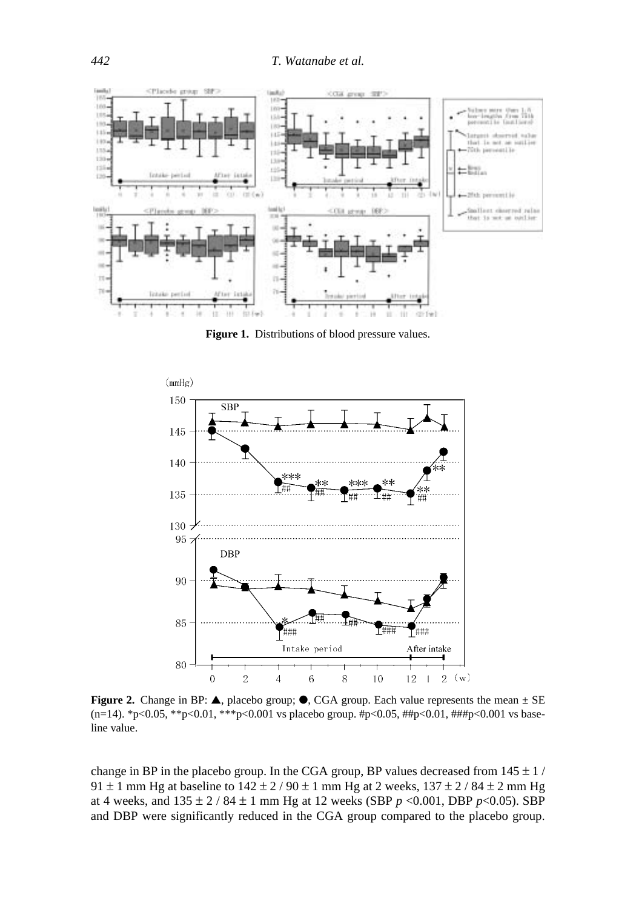

**Figure 1.** Distributions of blood pressure values.



**Figure 2.** Change in BP:  $\triangle$ , placebo group;  $\odot$ , CGA group. Each value represents the mean  $\pm$  SE (n=14). \*p<0.05, \*\*p<0.01, \*\*\*p<0.001 vs placebo group. #p<0.05, ##p<0.01, ###p<0.001 vs baseline value.

change in BP in the placebo group. In the CGA group, BP values decreased from  $145 \pm 1$  / 91  $\pm$  1 mm Hg at baseline to 142  $\pm$  2 / 90  $\pm$  1 mm Hg at 2 weeks, 137  $\pm$  2 / 84  $\pm$  2 mm Hg at 4 weeks, and 135 ± 2 / 84 ± 1 mm Hg at 12 weeks (SBP *p* <0.001, DBP *p*<0.05). SBP and DBP were significantly reduced in the CGA group compared to the placebo group.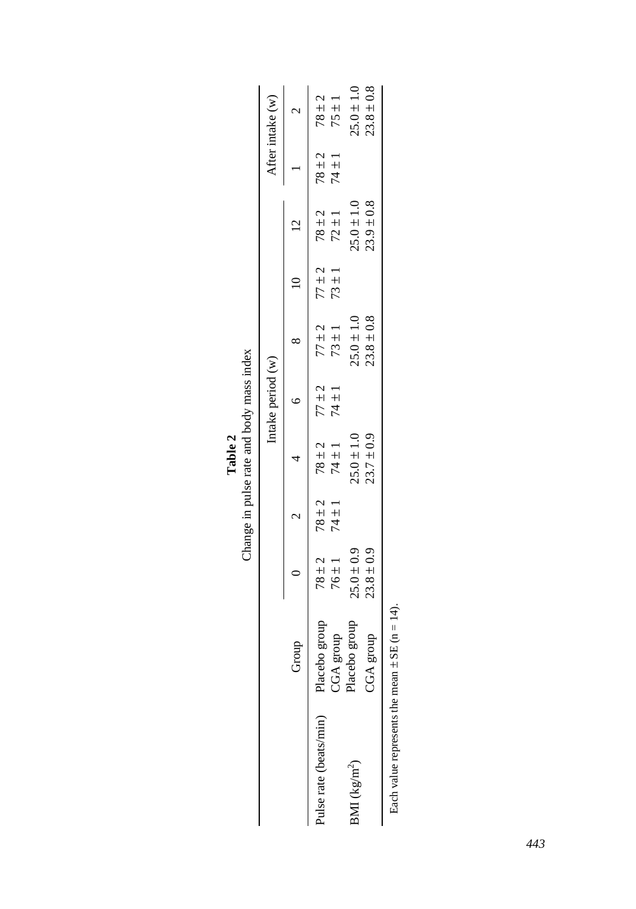|                                                         |                   |                |            | Change in pulse rate and body mass index |                   |                |            |                |            |                  |
|---------------------------------------------------------|-------------------|----------------|------------|------------------------------------------|-------------------|----------------|------------|----------------|------------|------------------|
|                                                         |                   |                |            |                                          | Intake period (w) |                |            |                |            | After intake (w) |
|                                                         | Group             |                |            |                                          |                   |                | $\equiv$   |                |            |                  |
| Pulse rate (beats/min)                                  | dno.fa<br>Placebo | $78 + 2$       | $78 \pm 2$ | $78 \pm 2$                               | $77 + 2$          | $77 \pm 2$     | $77 + 2$   | $78 \pm 2$     | $78 \pm 2$ | $78 + 2$         |
|                                                         | CGA group         | $76 \pm 1$     | $74 \pm 1$ | $74 \pm 1$                               | $74 \pm 1$        | $73 \pm 1$     | $73 \pm 1$ | $72 \pm 1$     | $74 \pm 1$ | $75 \pm 1$       |
| BMI ( $\text{kg/m}^2$ )                                 | group<br>Placebo  | $25.0 \pm 0.9$ |            | $25.0 \pm 1.0$                           |                   | $25.0 \pm 1.0$ |            | $25.0 \pm 1.0$ |            | $25.0 \pm 1.0$   |
|                                                         | CGA group         | $23.8 \pm 0.9$ |            | $23.7 \pm 0.9$                           |                   | $23.8 \pm 0.8$ |            | $23.9 \pm 0.8$ |            | $23.8 \pm 0.8$   |
| $\Gamma$ al al al manazioni di al manazioni di $\Gamma$ |                   |                |            |                                          |                   |                |            |                |            |                  |

|       | ma<br>ă                              |
|-------|--------------------------------------|
| Table | nge in pulse rate and $\overline{a}$ |
|       | h                                    |

Each value represents the mean  $\pm$  SE (n = 14). Each value represents the mean  $\pm$  SE (n = 14).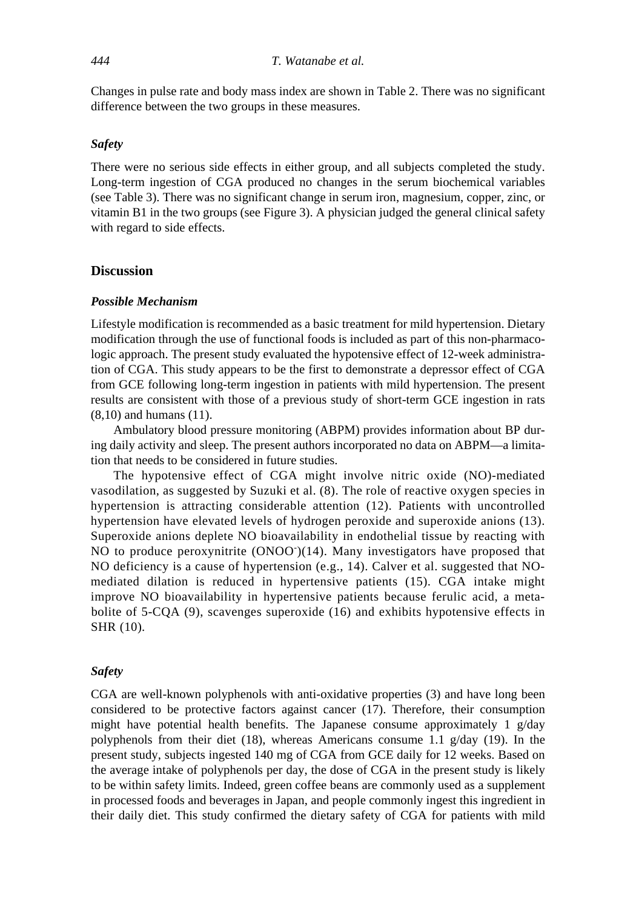Changes in pulse rate and body mass index are shown in Table 2. There was no significant difference between the two groups in these measures.

#### *Safety*

There were no serious side effects in either group, and all subjects completed the study. Long-term ingestion of CGA produced no changes in the serum biochemical variables (see Table 3). There was no significant change in serum iron, magnesium, copper, zinc, or vitamin B1 in the two groups (see Figure 3). A physician judged the general clinical safety with regard to side effects.

# **Discussion**

# *Possible Mechanism*

Lifestyle modification is recommended as a basic treatment for mild hypertension. Dietary modification through the use of functional foods is included as part of this non-pharmacologic approach. The present study evaluated the hypotensive effect of 12-week administration of CGA. This study appears to be the first to demonstrate a depressor effect of CGA from GCE following long-term ingestion in patients with mild hypertension. The present results are consistent with those of a previous study of short-term GCE ingestion in rats (8,10) and humans (11).

Ambulatory blood pressure monitoring (ABPM) provides information about BP during daily activity and sleep. The present authors incorporated no data on ABPM—a limitation that needs to be considered in future studies.

The hypotensive effect of CGA might involve nitric oxide (NO)-mediated vasodilation, as suggested by Suzuki et al. (8). The role of reactive oxygen species in hypertension is attracting considerable attention (12). Patients with uncontrolled hypertension have elevated levels of hydrogen peroxide and superoxide anions (13). Superoxide anions deplete NO bioavailability in endothelial tissue by reacting with NO to produce peroxynitrite (ONOO<sup>-</sup>)(14). Many investigators have proposed that NO deficiency is a cause of hypertension (e.g., 14). Calver et al. suggested that NOmediated dilation is reduced in hypertensive patients (15). CGA intake might improve NO bioavailability in hypertensive patients because ferulic acid, a metabolite of 5-CQA (9), scavenges superoxide (16) and exhibits hypotensive effects in SHR (10).

### *Safety*

CGA are well-known polyphenols with anti-oxidative properties (3) and have long been considered to be protective factors against cancer (17). Therefore, their consumption might have potential health benefits. The Japanese consume approximately 1 g/day polyphenols from their diet (18), whereas Americans consume 1.1 g/day (19). In the present study, subjects ingested 140 mg of CGA from GCE daily for 12 weeks. Based on the average intake of polyphenols per day, the dose of CGA in the present study is likely to be within safety limits. Indeed, green coffee beans are commonly used as a supplement in processed foods and beverages in Japan, and people commonly ingest this ingredient in their daily diet. This study confirmed the dietary safety of CGA for patients with mild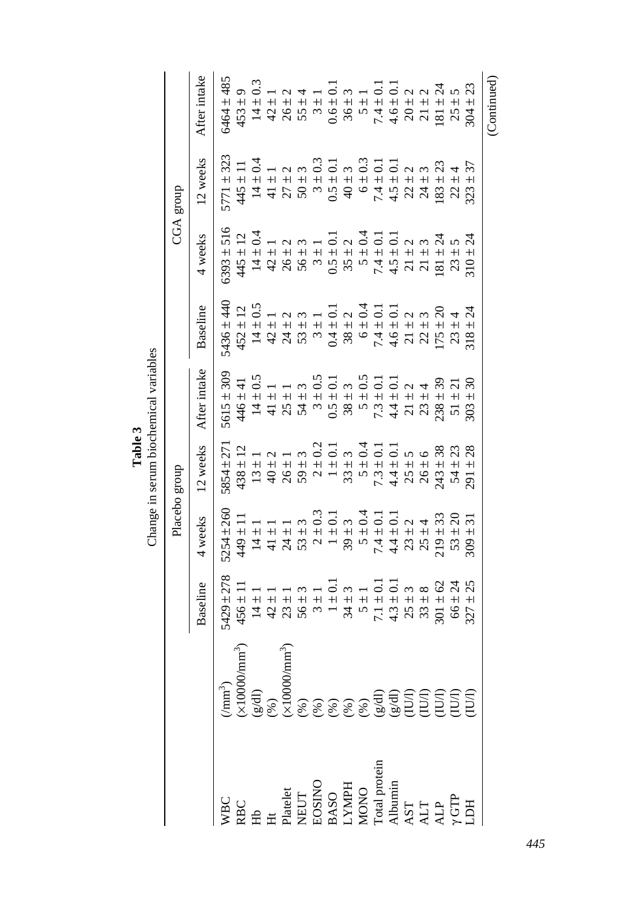Change in serum biochemical variables Change in serum biochemical variables **Table 3**

|                                                                                                                                                                                                                                                                                                                                                                                  |                                                                                                |                                                                                                                                                 |                                                                    | Placebo group                                                                                                                                                                                                                                                 |                                                 |                |                | CGA group                    |              |
|----------------------------------------------------------------------------------------------------------------------------------------------------------------------------------------------------------------------------------------------------------------------------------------------------------------------------------------------------------------------------------|------------------------------------------------------------------------------------------------|-------------------------------------------------------------------------------------------------------------------------------------------------|--------------------------------------------------------------------|---------------------------------------------------------------------------------------------------------------------------------------------------------------------------------------------------------------------------------------------------------------|-------------------------------------------------|----------------|----------------|------------------------------|--------------|
|                                                                                                                                                                                                                                                                                                                                                                                  |                                                                                                | Baseline                                                                                                                                        | 4 weeks                                                            | 12 weeks                                                                                                                                                                                                                                                      | After intake                                    | Baseline       | 4 weeks        | 12 weeks                     | After intake |
|                                                                                                                                                                                                                                                                                                                                                                                  | (mm <sup>3</sup> )                                                                             | 5429 ± 278                                                                                                                                      | $5254 \pm 260$                                                     | $5854 + 27$                                                                                                                                                                                                                                                   | $5615 \pm 309$                                  | $5436 \pm 440$ | $6393 \pm 516$ | $5771 \pm 323$               | 6464 ± 485   |
|                                                                                                                                                                                                                                                                                                                                                                                  | m <sup>3</sup> )<br>(×10000/mm <sup>3</sup> )<br>(g/dl)<br>(%)                                 | $456 \pm 1$                                                                                                                                     | $449 \pm 11$                                                       |                                                                                                                                                                                                                                                               | 446±41                                          | $452 \pm 12$   |                | $445 \pm 11$<br>$14 \pm 0.4$ |              |
|                                                                                                                                                                                                                                                                                                                                                                                  |                                                                                                |                                                                                                                                                 |                                                                    |                                                                                                                                                                                                                                                               |                                                 | $14 \pm 0.5$   |                |                              |              |
|                                                                                                                                                                                                                                                                                                                                                                                  |                                                                                                |                                                                                                                                                 | $\begin{array}{c} 14\pm1\\ 41\pm1 \end{array}$                     |                                                                                                                                                                                                                                                               |                                                 |                |                |                              |              |
|                                                                                                                                                                                                                                                                                                                                                                                  |                                                                                                | $147385$ $147471$ $147471$ $147471$ $147471$ $147471$ $147471$ $147471$ $147471$ $147471$ $147471$ $147471$ $147471$ $147471$ $147471$ $147471$ |                                                                    | $43.14 + 14.14 + 14.14 + 14.14 + 14.14 + 14.14 + 14.14 + 14.14 + 14.14 + 14.14 + 14.14 + 14.14 + 14.14 + 14.14 + 14.14 + 14.14 + 14.14 + 14.14 + 14.14 + 14.14 + 14.14 + 14.14 + 14.14 + 14.14 + 14.14 + 14.14 + 14.14 + 14.14 + 14.14 + 14.14 + 14.14 + 14.$ |                                                 |                |                |                              |              |
|                                                                                                                                                                                                                                                                                                                                                                                  |                                                                                                |                                                                                                                                                 |                                                                    |                                                                                                                                                                                                                                                               |                                                 |                |                |                              |              |
|                                                                                                                                                                                                                                                                                                                                                                                  |                                                                                                |                                                                                                                                                 |                                                                    |                                                                                                                                                                                                                                                               |                                                 |                |                |                              |              |
|                                                                                                                                                                                                                                                                                                                                                                                  |                                                                                                |                                                                                                                                                 |                                                                    |                                                                                                                                                                                                                                                               |                                                 |                |                |                              |              |
|                                                                                                                                                                                                                                                                                                                                                                                  |                                                                                                |                                                                                                                                                 |                                                                    |                                                                                                                                                                                                                                                               |                                                 |                |                |                              |              |
|                                                                                                                                                                                                                                                                                                                                                                                  |                                                                                                |                                                                                                                                                 |                                                                    |                                                                                                                                                                                                                                                               |                                                 |                |                |                              |              |
|                                                                                                                                                                                                                                                                                                                                                                                  |                                                                                                |                                                                                                                                                 |                                                                    |                                                                                                                                                                                                                                                               |                                                 |                |                |                              |              |
|                                                                                                                                                                                                                                                                                                                                                                                  |                                                                                                |                                                                                                                                                 |                                                                    |                                                                                                                                                                                                                                                               |                                                 |                |                |                              |              |
|                                                                                                                                                                                                                                                                                                                                                                                  |                                                                                                |                                                                                                                                                 |                                                                    |                                                                                                                                                                                                                                                               |                                                 |                |                |                              |              |
|                                                                                                                                                                                                                                                                                                                                                                                  |                                                                                                |                                                                                                                                                 |                                                                    |                                                                                                                                                                                                                                                               |                                                 |                |                |                              |              |
|                                                                                                                                                                                                                                                                                                                                                                                  |                                                                                                |                                                                                                                                                 | $\begin{array}{c} 42 \\ 41 \\ + 14 \\ + 14 \end{array}$<br>$219 -$ |                                                                                                                                                                                                                                                               | $\begin{array}{c} \pm 39 \\ \pm 21 \end{array}$ |                |                |                              |              |
|                                                                                                                                                                                                                                                                                                                                                                                  |                                                                                                |                                                                                                                                                 | 53                                                                 |                                                                                                                                                                                                                                                               | $\overline{51}$                                 |                |                |                              |              |
| $\begin{array}{l} \tt{WBC} \\ \tt{RBC} \\ \tt{H} \\ \tt{H} \\ \tt{NEDT} \\ \tt{PIAElet} \\ \tt{PASO} \\ \tt{DOSINO} \\ \tt{DOSINO} \\ \tt{DOSNO} \\ \tt{DOSNO} \\ \tt{NOPH} \\ \tt{MQNO} \\ \tt{NOPH} \\ \tt{MQ} \\ \tt{MQ} \\ \tt{MQ} \\ \tt{MQ} \\ \tt{MQ} \\ \tt{MQ} \\ \tt{MQ} \\ \tt{MQ} \\ \tt{MQ} \\ \tt{MQ} \\ \tt{MQ} \\ \tt{MQ} \\ \tt{MQ} \\ \tt{MQ} \\ \tt{MQ} \\ \$ | ( $(8)$ )<br>(8)<br>(8)<br>(8)<br>(8)<br>(8)<br>(8)<br>(8)<br>(EUT)<br>(EUT)<br>(EUT)<br>(EUT) |                                                                                                                                                 | 309                                                                |                                                                                                                                                                                                                                                               | $+30$<br>303                                    |                |                |                              |              |
|                                                                                                                                                                                                                                                                                                                                                                                  |                                                                                                |                                                                                                                                                 |                                                                    |                                                                                                                                                                                                                                                               |                                                 |                |                |                              | (Continued)  |

*445*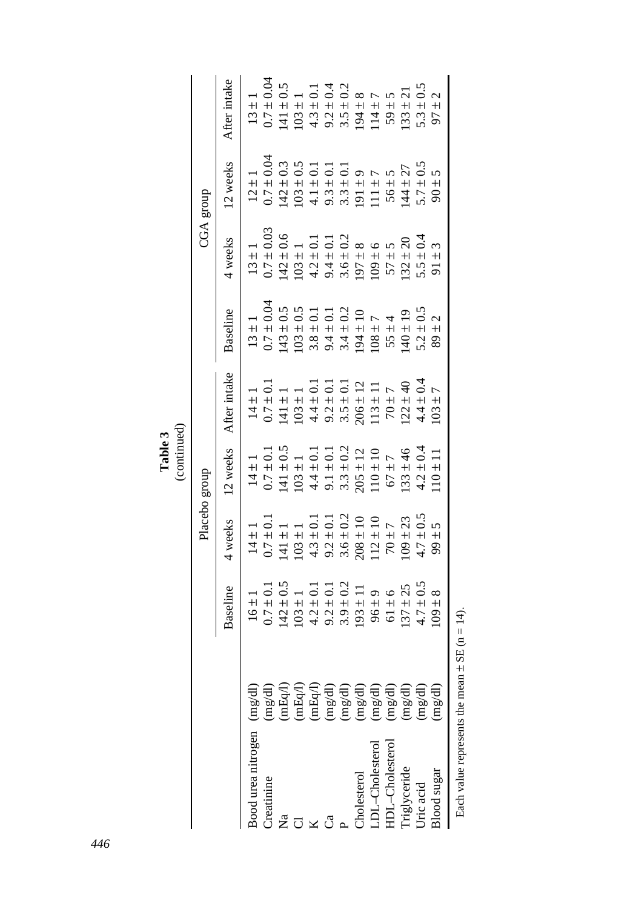Table 3<br>(continued) (continued)

|                            |                                                                |                                                                                     | Placebo group                                                                                                                                              |                                                                        |                                                                             |                                                                                                                                                               |                                                                            | CGA group                                                                                                                                                                                                                                                                                                             |                                                |
|----------------------------|----------------------------------------------------------------|-------------------------------------------------------------------------------------|------------------------------------------------------------------------------------------------------------------------------------------------------------|------------------------------------------------------------------------|-----------------------------------------------------------------------------|---------------------------------------------------------------------------------------------------------------------------------------------------------------|----------------------------------------------------------------------------|-----------------------------------------------------------------------------------------------------------------------------------------------------------------------------------------------------------------------------------------------------------------------------------------------------------------------|------------------------------------------------|
|                            |                                                                | Baseline                                                                            | 4 weeks                                                                                                                                                    | 12 weeks                                                               | After intake                                                                | Baseline                                                                                                                                                      | 4 weeks                                                                    | 12 weeks                                                                                                                                                                                                                                                                                                              | After intake                                   |
| Bood urea nitrogen (mg/dl) |                                                                | $\frac{1}{1}$<br>$\overline{91}$                                                    | $\frac{1}{1}$                                                                                                                                              | $\frac{1}{1}$                                                          | $\frac{1}{1}$<br>$\vec{a}$                                                  | $\frac{1}{1}$                                                                                                                                                 | $+$                                                                        |                                                                                                                                                                                                                                                                                                                       | $\frac{1}{1}$                                  |
| Treatinine                 |                                                                | $\frac{1}{2}$<br>0.7                                                                | $-10+$<br>$\frac{14}{0.7}$                                                                                                                                 | $\overline{\circ}$<br>$+$<br>$14$ 0.7                                  | $\pm 0.1$<br>0.7                                                            | ± 0.04<br>$\frac{13}{0.7}$                                                                                                                                    | $\pm 0.03$<br>$\frac{13}{0.7}$                                             | $\begin{array}{cccc} 12 \pm 1 & 1 \\ 0.7 \pm 0.04 & 0.3 \\ 0.7 \pm 0.3 & 0.5 \\ 142 \pm 0.5 & 0.1 \\ 142 \pm 0.1 & 1 \\ 143 \pm 0.1 & 1 \\ 144 \pm 0.1 & 1 \\ 145 \pm 0.1 & 1 \\ 146 \pm 0.1 & 1 \\ 156 \pm 0.1 & 1 \\ 166 \pm 0.1 & 1 \\ 177 \pm 0.1 & 1 \\ 188 \pm 0.1 & 1 \\ 191 \pm 7 & 1 \\ 111 \pm 7 & 1 \\ 11$ | ±0.04                                          |
| $\tilde{\rm z}$            |                                                                | $-50.5$<br>$\frac{142}{103}$                                                        |                                                                                                                                                            | $\overline{0.5}$<br>$+1$<br>$\frac{141}{103}$                          | $\frac{1}{+1}$<br>$\frac{141}{2}$                                           | $\pm 0.5$                                                                                                                                                     | $-0.6$                                                                     |                                                                                                                                                                                                                                                                                                                       | $\pm\,0.5$                                     |
|                            | (mg/dl)<br>(mEq/l)<br>(mEq/l)<br>(mEq/l)                       | $\frac{1}{1}$                                                                       | $\begin{array}{c} 141 \pm 1 \\ 103 \pm 1 \\ 103 \pm 0.1 \\ 4.3 \pm 0.1 \\ 9.2 \pm 0.2 \\ 3.6 \pm 10 \\ 208 \pm 10 \\ 208 \pm 10 \\ 112 \pm 10 \end{array}$ | $\frac{1}{1}$                                                          | $\frac{1}{1}$                                                               | $\begin{array}{c} 143 \pm 0.5 \\ 103 \pm 0.5 \\ 3.8 \pm 0.1 \\ 9.4 \pm 0.2 \\ 3.4 \pm 0.2 \\ 104 \pm 10 \\ 104 \pm 10 \\ 104 \pm 10 \\ 108 \pm 7 \end{array}$ | $\frac{1}{1}$<br>$142$<br>$103$<br>$49$<br>$56$<br>$109$<br>$109$<br>$109$ |                                                                                                                                                                                                                                                                                                                       | $\frac{1}{1}$                                  |
|                            |                                                                |                                                                                     |                                                                                                                                                            |                                                                        | $4.4 \pm 0.1$                                                               |                                                                                                                                                               | $\pm$ 0.1                                                                  |                                                                                                                                                                                                                                                                                                                       |                                                |
| ಗೆ                         |                                                                |                                                                                     |                                                                                                                                                            |                                                                        | $\pm 0.1$                                                                   |                                                                                                                                                               |                                                                            |                                                                                                                                                                                                                                                                                                                       |                                                |
|                            | $\begin{pmatrix} mg/dl \\ mg/dl \end{pmatrix}$                 |                                                                                     |                                                                                                                                                            |                                                                        | $\pm 0.1$                                                                   |                                                                                                                                                               |                                                                            |                                                                                                                                                                                                                                                                                                                       |                                                |
| <b>holesterol</b>          | (mg/dl)                                                        | $4.2 \pm 0.1$<br>$9.2 \pm 0.2$<br>$3.9 \pm 0.2$<br>$11$<br>$96 \pm 9$<br>$61 \pm 6$ |                                                                                                                                                            | $\frac{4}{3}$ $\frac{1}{3}$ $\frac{3}{3}$ $\frac{3}{8}$ $\frac{1}{10}$ | $\begin{array}{c} + & 12 \\ + & 11 \end{array}$<br>9.2<br>3.5<br>206<br>113 |                                                                                                                                                               | $-1$<br>$-1$<br>$-1$<br>$-1$<br>$+1$<br>$+1$<br>$+1$<br>$+1$               |                                                                                                                                                                                                                                                                                                                       |                                                |
| DL-Cholesterol             | (mg/dl)                                                        |                                                                                     |                                                                                                                                                            |                                                                        |                                                                             |                                                                                                                                                               |                                                                            |                                                                                                                                                                                                                                                                                                                       |                                                |
| IDL-Cholesterol            | (mg/dl)                                                        | $67368$<br>+ + + + +                                                                | $\overline{r}$<br>$70 \pm$                                                                                                                                 | $\overline{\phantom{0}}$<br>$+$<br>$\mathcal{Q}$                       | $\frac{1}{4}$<br>$\sqrt{2}$                                                 | $55 \pm 4$                                                                                                                                                    | $+5$<br>$+20$<br>57                                                        | $5 + 5$<br>$+ + 27$<br>$+ + 6$<br>$-5$<br>$-5$<br>$-5$                                                                                                                                                                                                                                                                | $\begin{array}{c} +5 \\ +21 \end{array}$<br>59 |
| Iriglyceride<br>Uric acid  | (mg/dl)                                                        | $\overline{37}$                                                                     | $\overline{109}$                                                                                                                                           | $\frac{4}{6}$<br>$+$<br>133                                            | $-140$<br>122                                                               | $140 \pm 19$<br>$5.2 \pm 0.5$                                                                                                                                 | <b>32</b>                                                                  | $56 + 144 + 57 + 57$                                                                                                                                                                                                                                                                                                  | <b>33</b>                                      |
|                            | (mg/dl)                                                        | 4.7                                                                                 | $+ 23$<br>$+ 0.5$<br>4.7                                                                                                                                   | $\ddot{\circ}$<br>$+1$<br>4.2                                          | $\pm 0.4$<br>$\ddot{4}$                                                     |                                                                                                                                                               | $\pm 0.4$<br>5.5                                                           |                                                                                                                                                                                                                                                                                                                       | $\pm 0.5$<br>5.3                               |
| lood sugar                 | $\left( \mathrm{m} \mathrm{g} / \mathrm{d} \mathrm{l} \right)$ | 109                                                                                 | $\mathbf{v}$<br>$+$<br>$\mathcal{S}$                                                                                                                       | $\pm$<br>10                                                            | $\overline{ }$<br>$+1$<br>$\mathfrak{S}$                                    | $\frac{1}{2}$<br>89                                                                                                                                           | 3<br>$+$<br>$\overline{5}$                                                 | $\infty$                                                                                                                                                                                                                                                                                                              | $\frac{1}{2}$<br>57                            |
|                            |                                                                |                                                                                     |                                                                                                                                                            |                                                                        |                                                                             |                                                                                                                                                               |                                                                            |                                                                                                                                                                                                                                                                                                                       |                                                |

Each value represents the mean  $\pm$  SE (n = 14). Each value represents the mean  $\pm$  SE (n = 14).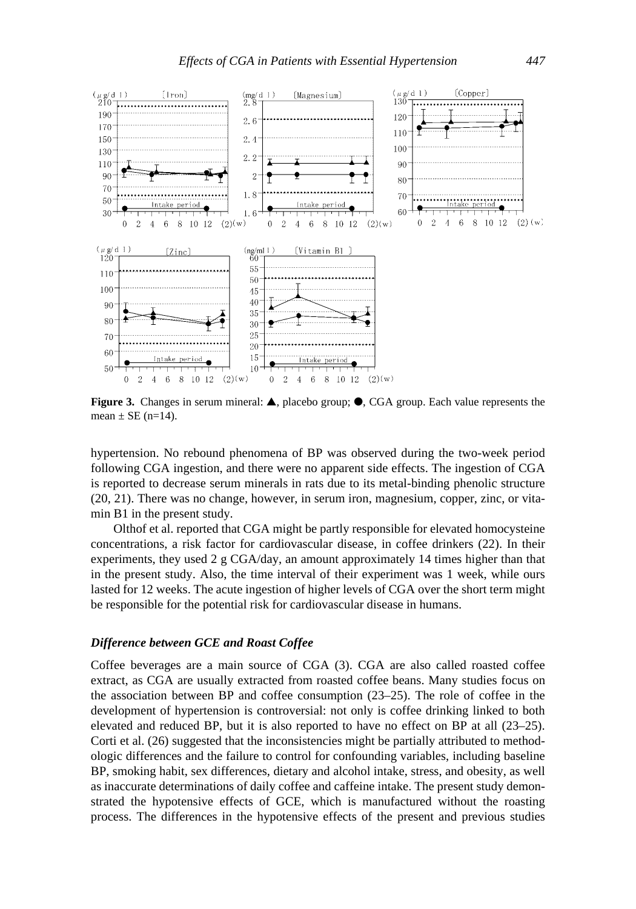

**Figure 3.** Changes in serum mineral: **▲**, placebo group; ●, CGA group. Each value represents the mean  $\pm$  SE (n=14).

hypertension. No rebound phenomena of BP was observed during the two-week period following CGA ingestion, and there were no apparent side effects. The ingestion of CGA is reported to decrease serum minerals in rats due to its metal-binding phenolic structure (20, 21). There was no change, however, in serum iron, magnesium, copper, zinc, or vitamin B1 in the present study.

Olthof et al. reported that CGA might be partly responsible for elevated homocysteine concentrations, a risk factor for cardiovascular disease, in coffee drinkers (22). In their experiments, they used 2 g CGA/day, an amount approximately 14 times higher than that in the present study. Also, the time interval of their experiment was 1 week, while ours lasted for 12 weeks. The acute ingestion of higher levels of CGA over the short term might be responsible for the potential risk for cardiovascular disease in humans.

## *Difference between GCE and Roast Coffee*

Coffee beverages are a main source of CGA (3). CGA are also called roasted coffee extract, as CGA are usually extracted from roasted coffee beans. Many studies focus on the association between BP and coffee consumption (23–25). The role of coffee in the development of hypertension is controversial: not only is coffee drinking linked to both elevated and reduced BP, but it is also reported to have no effect on BP at all (23–25). Corti et al. (26) suggested that the inconsistencies might be partially attributed to methodologic differences and the failure to control for confounding variables, including baseline BP, smoking habit, sex differences, dietary and alcohol intake, stress, and obesity, as well as inaccurate determinations of daily coffee and caffeine intake. The present study demonstrated the hypotensive effects of GCE, which is manufactured without the roasting process. The differences in the hypotensive effects of the present and previous studies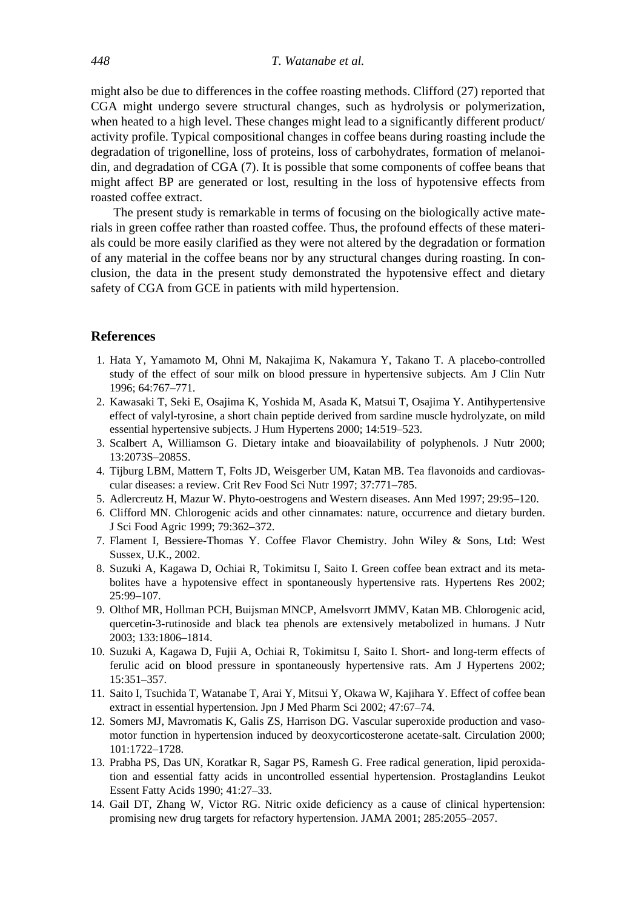might also be due to differences in the coffee roasting methods. Clifford (27) reported that CGA might undergo severe structural changes, such as hydrolysis or polymerization, when heated to a high level. These changes might lead to a significantly different product/ activity profile. Typical compositional changes in coffee beans during roasting include the degradation of trigonelline, loss of proteins, loss of carbohydrates, formation of melanoidin, and degradation of CGA (7). It is possible that some components of coffee beans that might affect BP are generated or lost, resulting in the loss of hypotensive effects from roasted coffee extract.

The present study is remarkable in terms of focusing on the biologically active materials in green coffee rather than roasted coffee. Thus, the profound effects of these materials could be more easily clarified as they were not altered by the degradation or formation of any material in the coffee beans nor by any structural changes during roasting. In conclusion, the data in the present study demonstrated the hypotensive effect and dietary safety of CGA from GCE in patients with mild hypertension.

#### **References**

- 1. Hata Y, Yamamoto M, Ohni M, Nakajima K, Nakamura Y, Takano T. A placebo-controlled study of the effect of sour milk on blood pressure in hypertensive subjects. Am J Clin Nutr 1996; 64:767–771.
- 2. Kawasaki T, Seki E, Osajima K, Yoshida M, Asada K, Matsui T, Osajima Y. Antihypertensive effect of valyl-tyrosine, a short chain peptide derived from sardine muscle hydrolyzate, on mild essential hypertensive subjects. J Hum Hypertens 2000; 14:519–523.
- 3. Scalbert A, Williamson G. Dietary intake and bioavailability of polyphenols. J Nutr 2000; 13:2073S–2085S.
- 4. Tijburg LBM, Mattern T, Folts JD, Weisgerber UM, Katan MB. Tea flavonoids and cardiovascular diseases: a review. Crit Rev Food Sci Nutr 1997; 37:771–785.
- 5. Adlercreutz H, Mazur W. Phyto-oestrogens and Western diseases. Ann Med 1997; 29:95–120.
- 6. Clifford MN. Chlorogenic acids and other cinnamates: nature, occurrence and dietary burden. J Sci Food Agric 1999; 79:362–372.
- 7. Flament I, Bessiere-Thomas Y. Coffee Flavor Chemistry. John Wiley & Sons, Ltd: West Sussex, U.K., 2002.
- 8. Suzuki A, Kagawa D, Ochiai R, Tokimitsu I, Saito I. Green coffee bean extract and its metabolites have a hypotensive effect in spontaneously hypertensive rats. Hypertens Res 2002; 25:99–107.
- 9. Olthof MR, Hollman PCH, Buijsman MNCP, Amelsvorrt JMMV, Katan MB. Chlorogenic acid, quercetin-3-rutinoside and black tea phenols are extensively metabolized in humans. J Nutr 2003; 133:1806–1814.
- 10. Suzuki A, Kagawa D, Fujii A, Ochiai R, Tokimitsu I, Saito I. Short- and long-term effects of ferulic acid on blood pressure in spontaneously hypertensive rats. Am J Hypertens 2002; 15:351–357.
- 11. Saito I, Tsuchida T, Watanabe T, Arai Y, Mitsui Y, Okawa W, Kajihara Y. Effect of coffee bean extract in essential hypertension. Jpn J Med Pharm Sci 2002; 47:67–74.
- 12. Somers MJ, Mavromatis K, Galis ZS, Harrison DG. Vascular superoxide production and vasomotor function in hypertension induced by deoxycorticosterone acetate-salt. Circulation 2000; 101:1722–1728.
- 13. Prabha PS, Das UN, Koratkar R, Sagar PS, Ramesh G. Free radical generation, lipid peroxidation and essential fatty acids in uncontrolled essential hypertension. Prostaglandins Leukot Essent Fatty Acids 1990; 41:27–33.
- 14. Gail DT, Zhang W, Victor RG. Nitric oxide deficiency as a cause of clinical hypertension: promising new drug targets for refactory hypertension. JAMA 2001; 285:2055–2057.